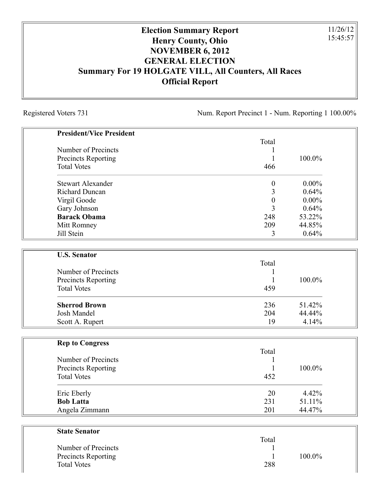## **Election Summary Report Henry County, Ohio NOVEMBER 6, 2012 GENERAL ELECTION Summary For 19 HOLGATE VILL, All Counters, All Races Official Report**

Registered Voters 731 Num. Report Precinct 1 - Num. Reporting 1 100.00%

11/26/12 15:45:57

| <b>President/Vice President</b> |                  |          |
|---------------------------------|------------------|----------|
|                                 | Total            |          |
| Number of Precincts             |                  |          |
| Precincts Reporting             | 1                | 100.0%   |
| <b>Total Votes</b>              | 466              |          |
| <b>Stewart Alexander</b>        | $\boldsymbol{0}$ | $0.00\%$ |
| <b>Richard Duncan</b>           | 3                | 0.64%    |
| Virgil Goode                    | $\boldsymbol{0}$ | $0.00\%$ |
| Gary Johnson                    | $\overline{3}$   | 0.64%    |
| <b>Barack Obama</b>             | 248              | 53.22%   |
| Mitt Romney                     | 209              | 44.85%   |
| Jill Stein                      | 3                | 0.64%    |
| <b>U.S. Senator</b>             |                  |          |
|                                 | Total            |          |
| Number of Precincts             |                  |          |
| Precincts Reporting             | 1                | 100.0%   |
| <b>Total Votes</b>              | 459              |          |
| <b>Sherrod Brown</b>            | 236              | 51.42%   |
| Josh Mandel                     | 204              | 44.44%   |
| Scott A. Rupert                 | 19               | 4.14%    |
| <b>Rep to Congress</b>          |                  |          |
|                                 | Total            |          |
| Number of Precincts             | 1                |          |
| Precincts Reporting             | 1                | 100.0%   |
| <b>Total Votes</b>              | 452              |          |
| Eric Eberly                     | 20               | 4.42%    |
| <b>Bob Latta</b>                | 231              | 51.11%   |
| Angela Zimmann                  | 201              | 44.47%   |
| <b>State Senator</b>            |                  |          |
|                                 | Total            |          |
| Number of Precincts             |                  |          |

| Number of Precincts        |     |        |
|----------------------------|-----|--------|
| <b>Precincts Reporting</b> |     | 100.0% |
| <b>Total Votes</b>         | 288 |        |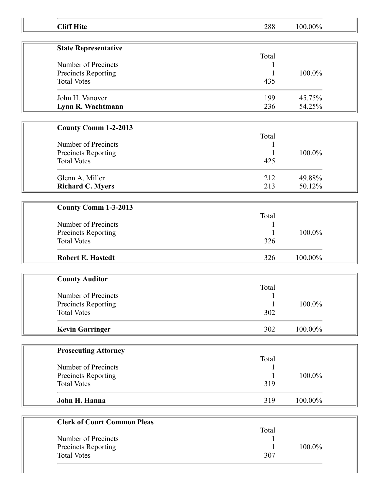| <b>Cliff Hite</b>                  | 288   | 100.00% |
|------------------------------------|-------|---------|
| <b>State Representative</b>        |       |         |
|                                    | Total |         |
| Number of Precincts                |       |         |
| Precincts Reporting                |       | 100.0%  |
| <b>Total Votes</b>                 | 435   |         |
| John H. Vanover                    | 199   | 45.75%  |
|                                    | 236   | 54.25%  |
| Lynn R. Wachtmann                  |       |         |
| <b>County Comm 1-2-2013</b>        |       |         |
|                                    | Total |         |
| Number of Precincts                |       |         |
| Precincts Reporting                |       | 100.0%  |
| <b>Total Votes</b>                 | 425   |         |
|                                    |       |         |
| Glenn A. Miller                    | 212   | 49.88%  |
| <b>Richard C. Myers</b>            | 213   | 50.12%  |
|                                    |       |         |
| County Comm 1-3-2013               |       |         |
|                                    | Total |         |
| Number of Precincts                |       |         |
| Precincts Reporting                |       | 100.0%  |
| <b>Total Votes</b>                 | 326   |         |
| <b>Robert E. Hastedt</b>           | 326   | 100.00% |
|                                    |       |         |
| <b>County Auditor</b>              |       |         |
|                                    | Total |         |
| Number of Precincts                | 1     |         |
| Precincts Reporting                |       | 100.0%  |
| <b>Total Votes</b>                 | 302   |         |
| <b>Kevin Garringer</b>             | 302   | 100.00% |
|                                    |       |         |
| <b>Prosecuting Attorney</b>        |       |         |
|                                    | Total |         |
| Number of Precincts                | 1     |         |
| Precincts Reporting                |       | 100.0%  |
| <b>Total Votes</b>                 | 319   |         |
| John H. Hanna                      | 319   | 100.00% |
|                                    |       |         |
| <b>Clerk of Court Common Pleas</b> |       |         |
|                                    | Total |         |
| Number of Precincts                |       |         |
|                                    |       | 100.0%  |
| Precincts Reporting                |       |         |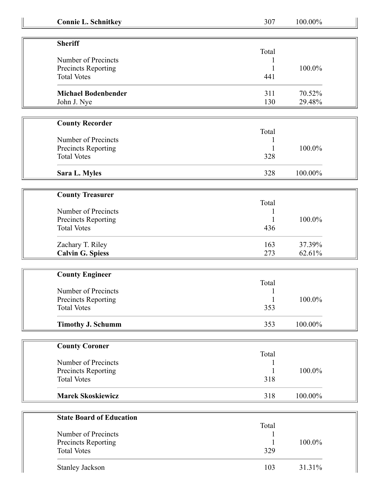| <b>Connie L. Schnitkey</b> |  |  |  |
|----------------------------|--|--|--|
|                            |  |  |  |

| <b>Connie L. Schnitkey</b> | 307          | 100.00%   |
|----------------------------|--------------|-----------|
|                            |              |           |
| <b>Sheriff</b>             |              |           |
|                            | Total        |           |
| Number of Precincts        |              |           |
| Precincts Reporting        |              | 100.0%    |
| <b>Total Votes</b>         | 441          |           |
| <b>Michael Bodenbender</b> | 311          | 70.52%    |
| John J. Nye                | 130          | 29.48%    |
|                            |              |           |
| <b>County Recorder</b>     |              |           |
|                            | Total        |           |
| Number of Precincts        |              |           |
| Precincts Reporting        |              | 100.0%    |
| <b>Total Votes</b>         | 328          |           |
| Sara L. Myles              | 328          | 100.00%   |
|                            |              |           |
| <b>County Treasurer</b>    |              |           |
| Number of Precincts        | Total        |           |
|                            |              |           |
| Precincts Reporting        |              | 100.0%    |
| <b>Total Votes</b>         | 436          |           |
| Zachary T. Riley           | 163          | 37.39%    |
| <b>Calvin G. Spiess</b>    | 273          | 62.61%    |
|                            |              |           |
| <b>County Engineer</b>     |              |           |
|                            | Total        |           |
| Number of Precincts        |              |           |
| <b>Precincts Reporting</b> | $\mathbf{1}$ | $100.0\%$ |
| <b>Total Votes</b>         | 353          |           |
| <b>Timothy J. Schumm</b>   | 353          | 100.00%   |
| <b>County Coroner</b>      |              |           |
|                            | Total        |           |
| Number of Precincts        |              |           |
| Precincts Reporting        |              | 100.0%    |
|                            |              |           |

| <b>Total Votes</b>              | 318   |         |
|---------------------------------|-------|---------|
| <b>Marek Skoskiewicz</b>        | 318   | 100.00% |
|                                 |       |         |
| <b>State Board of Education</b> |       |         |
|                                 | Total |         |

| Number of Precincts<br>Precincts Reporting<br><b>Total Votes</b> | Total<br>329 | $100.0\%$ |
|------------------------------------------------------------------|--------------|-----------|
| <b>Stanley Jackson</b>                                           | 103          | 31.31%    |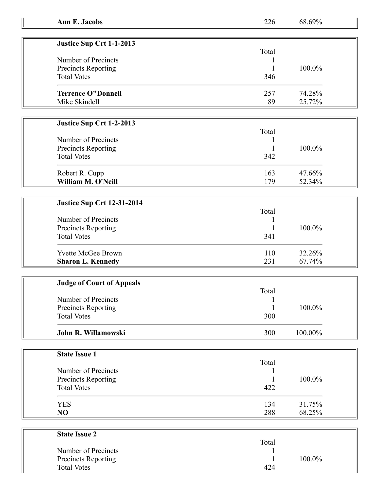| Ann E. Jacobs | ∸∸∿ | ' M)<br>ገለ<br>γ0∴ |
|---------------|-----|-------------------|
|               |     |                   |

Total

| Justice Sup Crt 1-1-2013  |       |        |
|---------------------------|-------|--------|
|                           | Total |        |
| Number of Precincts       |       |        |
| Precincts Reporting       |       | 100.0% |
| <b>Total Votes</b>        | 346   |        |
| <b>Terrence O"Donnell</b> | 257   | 74.28% |
| Mike Skindell             | 89    | 25.72% |

## **Justice Sup Crt 1-2-2013**

|                     | Total |        |
|---------------------|-------|--------|
| Number of Precincts |       |        |
| Precincts Reporting |       | 100.0% |
| <b>Total Votes</b>  | 342   |        |
| Robert R. Cupp      | 163   | 47.66% |
| William M. O'Neill  | 179   | 52.34% |

| <b>Justice Sup Crt 12-31-2014</b> |  |  |
|-----------------------------------|--|--|
| Number of Precincts               |  |  |
| <b>Precincts Reporting</b>        |  |  |

| Number of Precincts<br>Precincts Reporting<br><b>Total Votes</b> | 341 | $100.0\%$ |
|------------------------------------------------------------------|-----|-----------|
| Yvette McGee Brown                                               | 110 | 32.26%    |
| <b>Sharon L. Kennedy</b>                                         | 231 | 67.74%    |

| <b>Judge of Court of Appeals</b> |       |           |
|----------------------------------|-------|-----------|
|                                  | Total |           |
| Number of Precincts              |       |           |
| Precincts Reporting              |       | $100.0\%$ |
| <b>Total Votes</b>               | 300   |           |
| John R. Willamowski              | 300   | 100.00%   |

| <b>State Issue 1</b> |       |        |
|----------------------|-------|--------|
|                      | Total |        |
| Number of Precincts  |       |        |
| Precincts Reporting  |       | 100.0% |
| <b>Total Votes</b>   | 422   |        |
| <b>YES</b>           | 134   | 31.75% |
| NO                   | 288   | 68.25% |

| <b>State Issue 2</b>       |       |        |
|----------------------------|-------|--------|
|                            | Total |        |
| Number of Precincts        |       |        |
| <b>Precincts Reporting</b> |       | 100.0% |
| <b>Total Votes</b>         | 424   |        |